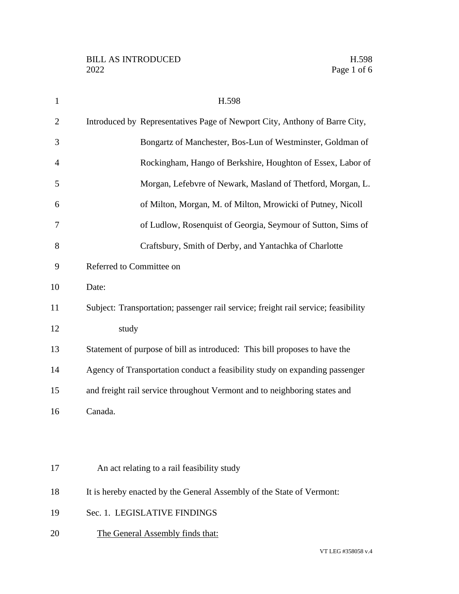| $\mathbf{1}$   | H.598                                                                              |
|----------------|------------------------------------------------------------------------------------|
| $\overline{2}$ | Introduced by Representatives Page of Newport City, Anthony of Barre City,         |
| 3              | Bongartz of Manchester, Bos-Lun of Westminster, Goldman of                         |
| 4              | Rockingham, Hango of Berkshire, Houghton of Essex, Labor of                        |
| 5              | Morgan, Lefebvre of Newark, Masland of Thetford, Morgan, L.                        |
| 6              | of Milton, Morgan, M. of Milton, Mrowicki of Putney, Nicoll                        |
| 7              | of Ludlow, Rosenquist of Georgia, Seymour of Sutton, Sims of                       |
| 8              | Craftsbury, Smith of Derby, and Yantachka of Charlotte                             |
| 9              | Referred to Committee on                                                           |
| 10             | Date:                                                                              |
| 11             | Subject: Transportation; passenger rail service; freight rail service; feasibility |
| 12             | study                                                                              |
| 13             | Statement of purpose of bill as introduced: This bill proposes to have the         |
| 14             | Agency of Transportation conduct a feasibility study on expanding passenger        |
| 15             | and freight rail service throughout Vermont and to neighboring states and          |
| 16             | Canada.                                                                            |
|                |                                                                                    |
|                |                                                                                    |
| 17             | An act relating to a rail feasibility study                                        |
| 18             | It is hereby enacted by the General Assembly of the State of Vermont:              |
| 19             | Sec. 1. LEGISLATIVE FINDINGS                                                       |
| 20             | The General Assembly finds that:                                                   |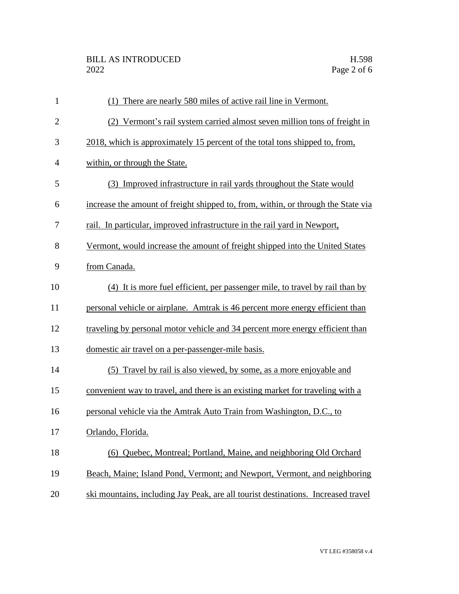| $\mathbf{1}$   | (1) There are nearly 580 miles of active rail line in Vermont.                    |
|----------------|-----------------------------------------------------------------------------------|
| $\overline{2}$ | (2) Vermont's rail system carried almost seven million tons of freight in         |
| 3              | 2018, which is approximately 15 percent of the total tons shipped to, from,       |
| 4              | within, or through the State.                                                     |
| 5              | (3) Improved infrastructure in rail yards throughout the State would              |
| 6              | increase the amount of freight shipped to, from, within, or through the State via |
| 7              | rail. In particular, improved infrastructure in the rail yard in Newport,         |
| 8              | Vermont, would increase the amount of freight shipped into the United States      |
| 9              | from Canada.                                                                      |
| 10             | (4) It is more fuel efficient, per passenger mile, to travel by rail than by      |
| 11             | personal vehicle or airplane. Amtrak is 46 percent more energy efficient than     |
| 12             | traveling by personal motor vehicle and 34 percent more energy efficient than     |
| 13             | domestic air travel on a per-passenger-mile basis.                                |
| 14             | (5) Travel by rail is also viewed, by some, as a more enjoyable and               |
| 15             | convenient way to travel, and there is an existing market for traveling with a    |
| 16             | personal vehicle via the Amtrak Auto Train from Washington, D.C., to              |
| 17             | Orlando, Florida.                                                                 |
| 18             | (6) Quebec, Montreal; Portland, Maine, and neighboring Old Orchard                |
| 19             | Beach, Maine; Island Pond, Vermont; and Newport, Vermont, and neighboring         |
| 20             | ski mountains, including Jay Peak, are all tourist destinations. Increased travel |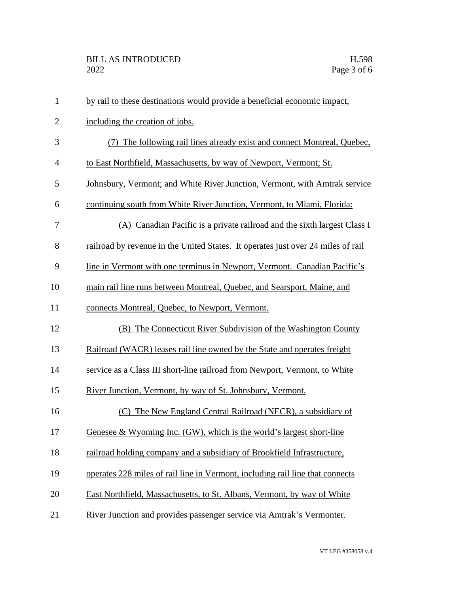| $\mathbf{1}$   | by rail to these destinations would provide a beneficial economic impact,        |
|----------------|----------------------------------------------------------------------------------|
| $\overline{2}$ | including the creation of jobs.                                                  |
| 3              | The following rail lines already exist and connect Montreal, Quebec,             |
| $\overline{4}$ | to East Northfield, Massachusetts, by way of Newport, Vermont; St.               |
| 5              | Johnsbury, Vermont; and White River Junction, Vermont, with Amtrak service       |
| 6              | continuing south from White River Junction, Vermont, to Miami, Florida:          |
| 7              | (A) Canadian Pacific is a private railroad and the sixth largest Class I         |
| 8              | railroad by revenue in the United States. It operates just over 24 miles of rail |
| 9              | line in Vermont with one terminus in Newport, Vermont. Canadian Pacific's        |
| 10             | main rail line runs between Montreal, Quebec, and Searsport, Maine, and          |
| 11             | connects Montreal, Quebec, to Newport, Vermont.                                  |
| 12             | (B) The Connecticut River Subdivision of the Washington County                   |
| 13             | Railroad (WACR) leases rail line owned by the State and operates freight         |
| 14             | service as a Class III short-line railroad from Newport, Vermont, to White       |
| 15             | River Junction, Vermont, by way of St. Johnsbury, Vermont.                       |
| 16             | (C) The New England Central Railroad (NECR), a subsidiary of                     |
| 17             | Genesee & Wyoming Inc. (GW), which is the world's largest short-line             |
| 18             | railroad holding company and a subsidiary of Brookfield Infrastructure,          |
| 19             | operates 228 miles of rail line in Vermont, including rail line that connects    |
| 20             | East Northfield, Massachusetts, to St. Albans, Vermont, by way of White          |
| 21             | River Junction and provides passenger service via Amtrak's Vermonter.            |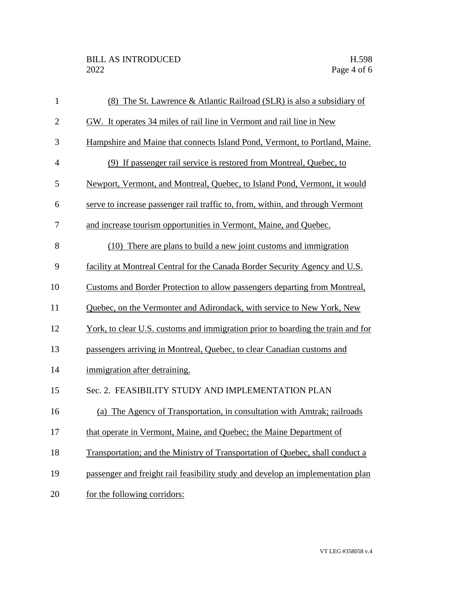| $\mathbf{1}$   | (8) The St. Lawrence & Atlantic Railroad (SLR) is also a subsidiary of                 |
|----------------|----------------------------------------------------------------------------------------|
| $\overline{2}$ | GW. It operates 34 miles of rail line in Vermont and rail line in New                  |
| 3              | Hampshire and Maine that connects Island Pond, Vermont, to Portland, Maine.            |
| $\overline{4}$ | (9) If passenger rail service is restored from Montreal, Quebec, to                    |
| 5              | Newport, Vermont, and Montreal, Quebec, to Island Pond, Vermont, it would              |
| 6              | serve to increase passenger rail traffic to, from, within, and through Vermont         |
| 7              | and increase tourism opportunities in Vermont, Maine, and Quebec.                      |
| 8              | (10) There are plans to build a new joint customs and immigration                      |
| 9              | facility at Montreal Central for the Canada Border Security Agency and U.S.            |
| 10             | Customs and Border Protection to allow passengers departing from Montreal,             |
| 11             | Quebec, on the Vermonter and Adirondack, with service to New York, New                 |
| 12             | <u>York, to clear U.S. customs and immigration prior to boarding the train and for</u> |
| 13             | passengers arriving in Montreal, Quebec, to clear Canadian customs and                 |
| 14             | immigration after detraining.                                                          |
| 15             | Sec. 2. FEASIBILITY STUDY AND IMPLEMENTATION PLAN                                      |
| 16             | (a) The Agency of Transportation, in consultation with Amtrak; railroads               |
| 17             | that operate in Vermont, Maine, and Quebec; the Maine Department of                    |
| 18             | Transportation; and the Ministry of Transportation of Quebec, shall conduct a          |
| 19             | passenger and freight rail feasibility study and develop an implementation plan        |
| 20             | for the following corridors:                                                           |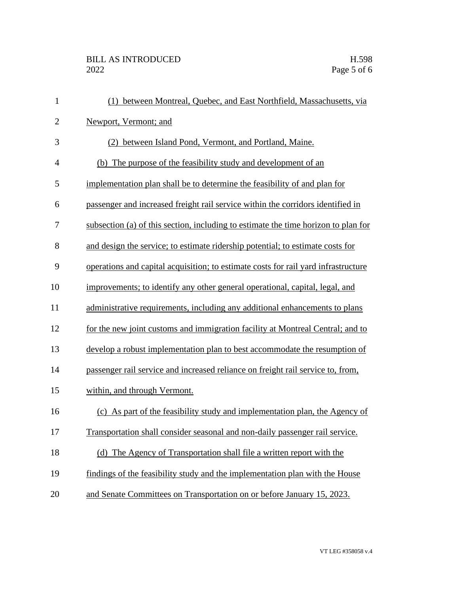| $\mathbf{1}$   | (1) between Montreal, Quebec, and East Northfield, Massachusetts, via              |
|----------------|------------------------------------------------------------------------------------|
| $\mathbf{2}$   | Newport, Vermont; and                                                              |
| 3              | between Island Pond, Vermont, and Portland, Maine.                                 |
| $\overline{4}$ | (b) The purpose of the feasibility study and development of an                     |
| 5              | implementation plan shall be to determine the feasibility of and plan for          |
| 6              | passenger and increased freight rail service within the corridors identified in    |
| 7              | subsection (a) of this section, including to estimate the time horizon to plan for |
| 8              | and design the service; to estimate ridership potential; to estimate costs for     |
| 9              | operations and capital acquisition; to estimate costs for rail yard infrastructure |
| 10             | improvements; to identify any other general operational, capital, legal, and       |
| 11             | administrative requirements, including any additional enhancements to plans        |
| 12             | for the new joint customs and immigration facility at Montreal Central; and to     |
| 13             | develop a robust implementation plan to best accommodate the resumption of         |
| 14             | passenger rail service and increased reliance on freight rail service to, from,    |
| 15             | within, and through Vermont.                                                       |
| 16             | (c) As part of the feasibility study and implementation plan, the Agency of        |
| 17             | Transportation shall consider seasonal and non-daily passenger rail service.       |
| 18             | (d) The Agency of Transportation shall file a written report with the              |
| 19             | findings of the feasibility study and the implementation plan with the House       |
| 20             | and Senate Committees on Transportation on or before January 15, 2023.             |